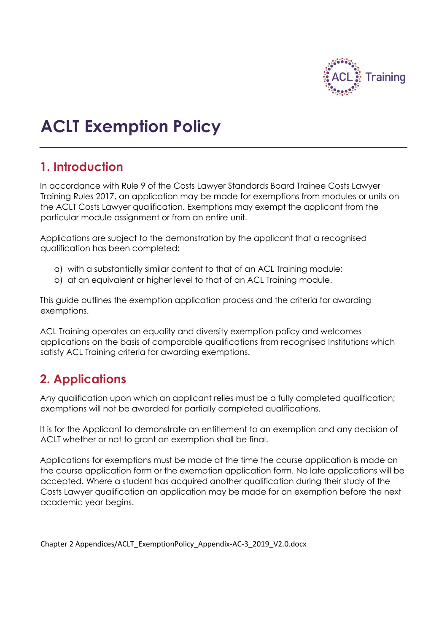

# **ACLT Exemption Policy**

## **1. Introduction**

In accordance with Rule 9 of the Costs Lawyer Standards Board Trainee Costs Lawyer Training Rules 2017, an application may be made for exemptions from modules or units on the ACLT Costs Lawyer qualification. Exemptions may exempt the applicant from the particular module assignment or from an entire unit.

Applications are subject to the demonstration by the applicant that a recognised qualification has been completed:

- a) with a substantially similar content to that of an ACL Training module;
- b) at an equivalent or higher level to that of an ACL Training module.

This guide outlines the exemption application process and the criteria for awarding exemptions.

ACL Training operates an equality and diversity exemption policy and welcomes applications on the basis of comparable qualifications from recognised Institutions which satisfy ACL Training criteria for awarding exemptions.

# **2. Applications**

Any qualification upon which an applicant relies must be a fully completed qualification; exemptions will not be awarded for partially completed qualifications.

It is for the Applicant to demonstrate an entitlement to an exemption and any decision of ACLT whether or not to grant an exemption shall be final.

Applications for exemptions must be made at the time the course application is made on the course application form or the exemption application form. No late applications will be accepted. Where a student has acquired another qualification during their study of the Costs Lawyer qualification an application may be made for an exemption before the next academic year begins.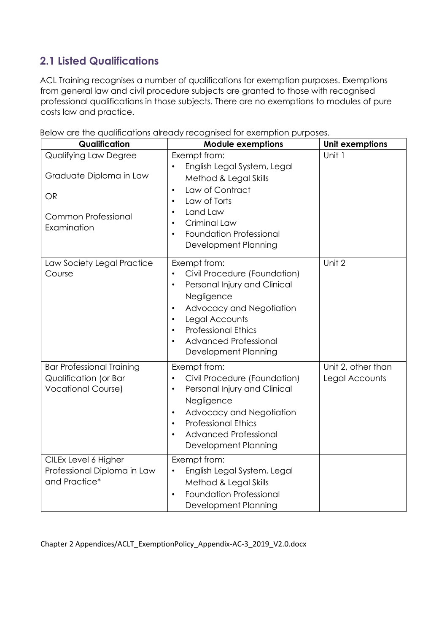## **2.1 Listed Qualifications**

ACL Training recognises a number of qualifications for exemption purposes. Exemptions from general law and civil procedure subjects are granted to those with recognised professional qualifications in those subjects. There are no exemptions to modules of pure costs law and practice.

| Qualification                                                                                              | <b>Module exemptions</b>                                                                                                                                                                                                                                                                        | <b>Unit exemptions</b>               |
|------------------------------------------------------------------------------------------------------------|-------------------------------------------------------------------------------------------------------------------------------------------------------------------------------------------------------------------------------------------------------------------------------------------------|--------------------------------------|
| Qualifying Law Degree<br>Graduate Diploma in Law<br><b>OR</b><br><b>Common Professional</b><br>Examination | Exempt from:<br>English Legal System, Legal<br>Method & Legal Skills<br>Law of Contract<br>$\bullet$<br>Law of Torts<br>$\bullet$<br>Land Law<br>$\bullet$<br>Criminal Law<br>$\bullet$<br><b>Foundation Professional</b><br>$\bullet$<br>Development Planning                                  | Unit 1                               |
| Law Society Legal Practice<br>Course                                                                       | Exempt from:<br>Civil Procedure (Foundation)<br>Personal Injury and Clinical<br>$\bullet$<br>Negligence<br>Advocacy and Negotiation<br>$\bullet$<br>Legal Accounts<br>$\bullet$<br><b>Professional Ethics</b><br>$\bullet$<br><b>Advanced Professional</b><br>$\bullet$<br>Development Planning | Unit 2                               |
| <b>Bar Professional Training</b><br>Qualification (or Bar<br><b>Vocational Course)</b>                     | Exempt from:<br>Civil Procedure (Foundation)<br>Personal Injury and Clinical<br>$\bullet$<br>Negligence<br>Advocacy and Negotiation<br>$\bullet$<br><b>Professional Ethics</b><br>$\bullet$<br><b>Advanced Professional</b><br>Development Planning                                             | Unit 2, other than<br>Legal Accounts |
| CILEx Level 6 Higher<br>Professional Diploma in Law<br>and Practice*                                       | Exempt from:<br>English Legal System, Legal<br>$\bullet$<br>Method & Legal Skills<br><b>Foundation Professional</b><br>$\bullet$<br>Development Planning                                                                                                                                        |                                      |

Below are the qualifications already recognised for exemption purposes.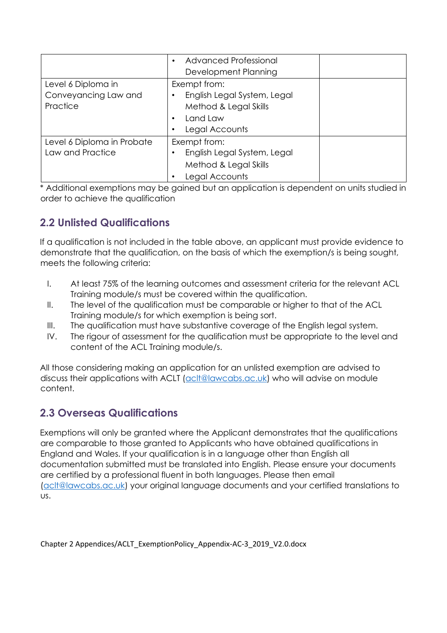|                                                        | <b>Advanced Professional</b><br>٠<br>Development Planning                                          |
|--------------------------------------------------------|----------------------------------------------------------------------------------------------------|
| Level 6 Diploma in<br>Conveyancing Law and<br>Practice | Exempt from:<br>English Legal System, Legal<br>Method & Legal Skills<br>Land Law<br>Legal Accounts |
| Level 6 Diploma in Probate<br>Law and Practice         | Exempt from:<br>English Legal System, Legal<br>Method & Legal Skills<br>Legal Accounts             |

\* Additional exemptions may be gained but an application is dependent on units studied in order to achieve the qualification

### **2.2 Unlisted Qualifications**

If a qualification is not included in the table above, an applicant must provide evidence to demonstrate that the qualification, on the basis of which the exemption/s is being sought, meets the following criteria:

- I. At least 75% of the learning outcomes and assessment criteria for the relevant ACL Training module/s must be covered within the qualification.
- II. The level of the qualification must be comparable or higher to that of the ACL Training module/s for which exemption is being sort.
- III. The qualification must have substantive coverage of the English legal system.
- IV. The rigour of assessment for the qualification must be appropriate to the level and content of the ACL Training module/s.

All those considering making an application for an unlisted exemption are advised to discuss their applications with ACLT [\(aclt@lawcabs.ac.uk\)](aclt@lawcabs.ac.uk) who will advise on module content.

#### **2.3 Overseas Qualifications**

Exemptions will only be granted where the Applicant demonstrates that the qualifications are comparable to those granted to Applicants who have obtained qualifications in England and Wales. If your qualification is in a language other than English all documentation submitted must be translated into English. Please ensure your documents are certified by a professional fluent in both languages. Please then email [\(aclt@lawcabs.ac.uk\)](aclt@lawcabs.ac.uk) your original language documents and your certified translations to us.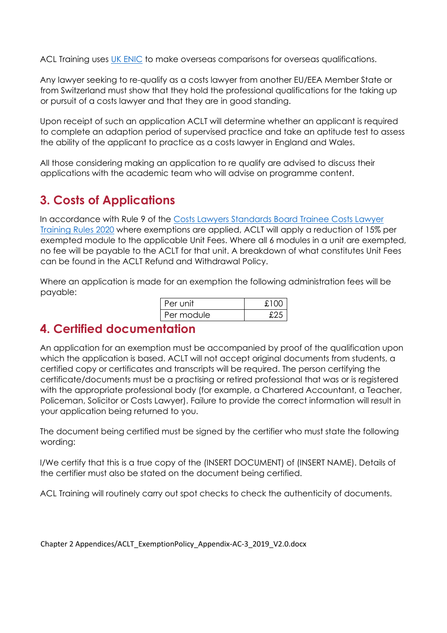ACL Training uses [UK ENIC](https://www.enic.org.uk/) to make overseas comparisons for overseas qualifications.

Any lawyer seeking to re-qualify as a costs lawyer from another EU/EEA Member State or from Switzerland must show that they hold the professional qualifications for the taking up or pursuit of a costs lawyer and that they are in good standing.

Upon receipt of such an application ACLT will determine whether an applicant is required to complete an adaption period of supervised practice and take an aptitude test to assess the ability of the applicant to practice as a costs lawyer in England and Wales.

All those considering making an application to re qualify are advised to discuss their applications with the academic team who will advise on programme content.

## **3. Costs of Applications**

In accordance with Rule 9 of the [Costs Lawyers Standards Board Trainee Costs Lawyer](https://clsb.info/wp-content/uploads/2020/07/Training-Rules.pdf)  [Training Rules 2020](https://clsb.info/wp-content/uploads/2020/07/Training-Rules.pdf) where exemptions are applied, ACLT will apply a reduction of 15% per exempted module to the applicable Unit Fees. Where all 6 modules in a unit are exempted, no fee will be payable to the ACLT for that unit. A breakdown of what constitutes Unit Fees can be found in the ACLT Refund and Withdrawal Policy.

Where an application is made for an exemption the following administration fees will be payable:

| Per unit   | £100 |
|------------|------|
| Per module |      |

## **4. Certified documentation**

An application for an exemption must be accompanied by proof of the qualification upon which the application is based. ACLT will not accept original documents from students, a certified copy or certificates and transcripts will be required. The person certifying the certificate/documents must be a practising or retired professional that was or is registered with the appropriate professional body (for example, a Chartered Accountant, a Teacher, Policeman, Solicitor or Costs Lawyer). Failure to provide the correct information will result in your application being returned to you.

The document being certified must be signed by the certifier who must state the following wording:

I/We certify that this is a true copy of the (INSERT DOCUMENT) of (INSERT NAME). Details of the certifier must also be stated on the document being certified.

ACL Training will routinely carry out spot checks to check the authenticity of documents.